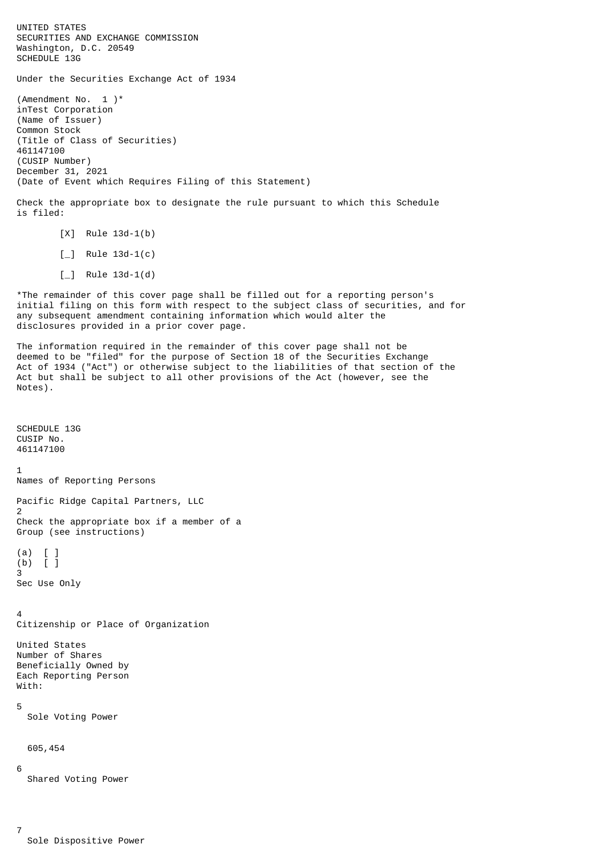UNITED STATES SECURITIES AND EXCHANGE COMMISSION Washington, D.C. 20549 SCHEDULE 13G Under the Securities Exchange Act of 1934 (Amendment No.  $1$ )\* inTest Corporation (Name of Issuer) Common Stock (Title of Class of Securities) 461147100 (CUSIP Number) December 31, 2021 (Date of Event which Requires Filing of this Statement) Check the appropriate box to designate the rule pursuant to which this Schedule is filed: [X] Rule 13d-1(b)  $\lceil \_$  Rule 13d-1(c)  $\lceil \_$  Rule 13d-1(d) \*The remainder of this cover page shall be filled out for a reporting person's initial filing on this form with respect to the subject class of securities, and for any subsequent amendment containing information which would alter the disclosures provided in a prior cover page. The information required in the remainder of this cover page shall not be deemed to be "filed" for the purpose of Section 18 of the Securities Exchange Act of 1934 ("Act") or otherwise subject to the liabilities of that section of the Act but shall be subject to all other provisions of the Act (however, see the Notes). SCHEDULE 13G CUSIP No. 461147100 1 Names of Reporting Persons Pacific Ridge Capital Partners, LLC 2 Check the appropriate box if a member of a Group (see instructions)  $(a)$  $(b)$   $\overline{1}$ 3 Sec Use Only

4 Citizenship or Place of Organization

United States Number of Shares Beneficially Owned by Each Reporting Person With:

5

Sole Voting Power

605,454

6

7

Shared Voting Power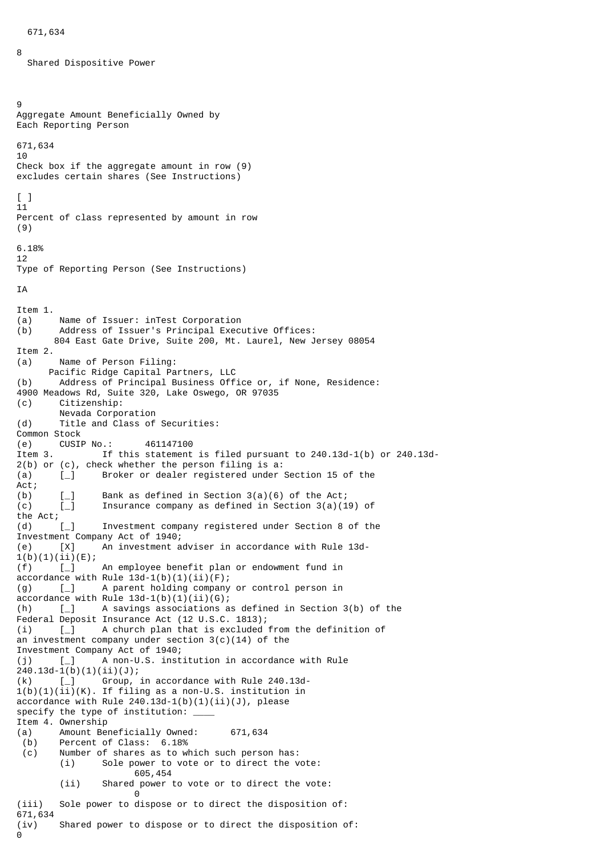```
 671,634
```
8

Shared Dispositive Power

```
9
Aggregate Amount Beneficially Owned by
Each Reporting Person
671,634
10
Check box if the aggregate amount in row (9)
excludes certain shares (See Instructions)
[ ]11
Percent of class represented by amount in row
(9)
6.18%
12
Type of Reporting Person (See Instructions)
TA
Item 1.
(a) Name of Issuer: inTest Corporation
(b) Address of Issuer's Principal Executive Offices:
        804 East Gate Drive, Suite 200, Mt. Laurel, New Jersey 08054
Item 2.
(a) Name of Person Filing:
Pacific Ridge Capital Partners, LLC<br>(b) Address of Principal Business Off
        Address of Principal Business Office or, if None, Residence:
4900 Meadows Rd, Suite 320, Lake Oswego, OR 97035
(c) Citizenship:
        Nevada Corporation
(d) Title and Class of Securities:
Common Stock
(e) CUSIP No.: 461147100
Item 3. If this statement is filed pursuant to 240.13d-1(b) or 240.13d-
2(b) or (c), check whether the person filing is a:
(a) [_] Broker or dealer registered under Section 15 of the
Act;
(b) \begin{bmatrix} -1 \\ 1 \end{bmatrix} Bank as defined in Section 3(a)(6) of the Act;<br>(c) \begin{bmatrix} 1 \\ 1 \end{bmatrix} The Transurance company as defined in Section 3(a)(1)
        \bar{L} Insurance company as defined in Section 3(a)(19) of
the Act;
(d) [_] Investment company registered under Section 8 of the
Investment Company Act of 1940;
(e) [X] An investment adviser in accordance with Rule 13d-
1(b)(1)(ii)(E);(f) [_] An employee benefit plan or endowment fund in
accordance with Rule 13d-1(b)(1)(ii)(F);(g) [_] A parent holding company or control person in
accordance with Rule 13d-1(b)(1)(ii)(G);(h) [_] A savings associations as defined in Section 3(b) of the
Federal Deposit Insurance Act (12 U.S.C. 1813);
(i) [_] A church plan that is excluded from the definition of
an investment company under section 3(c)(14) of the
Investment Company Act of 1940;
(j) [_] A non-U.S. institution in accordance with Rule
240.13d-1(b)(1)(ii)(J);
(k) [_] Group, in accordance with Rule 240.13d-
1(b)(1)(ii)(K). If filing as a non-U.S. institution in
accordance with Rule 240.13d-1(b)(1)(ii)(J), please
specify the type of institution: ____
Item 4. Ownership
(a) Amount Beneficially Owned: 671,634
  (b) Percent of Class: 6.18%
  (c) Number of shares as to which such person has:
        (i) Sole power to vote or to direct the vote:
                       605,454
        (ii) Shared power to vote or to direct the vote:
                      \Theta(iii) Sole power to dispose or to direct the disposition of:
671,634
(iv) Shared power to dispose or to direct the disposition of:
\Theta
```